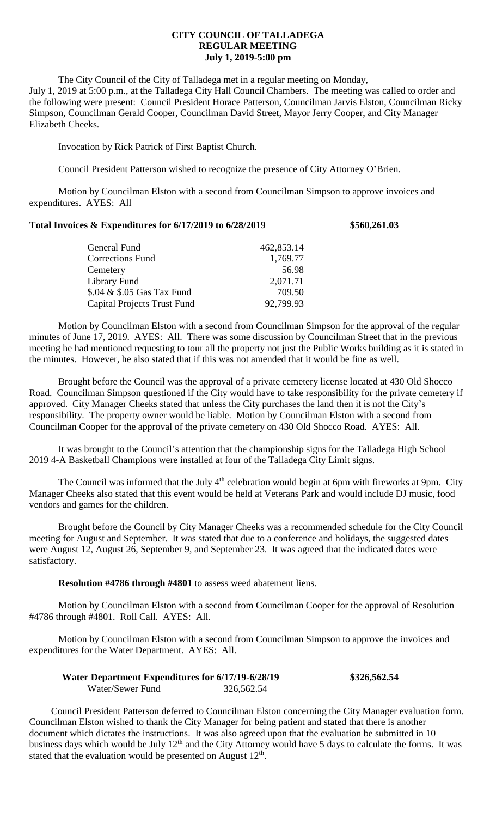## **CITY COUNCIL OF TALLADEGA REGULAR MEETING July 1, 2019-5:00 pm**

The City Council of the City of Talladega met in a regular meeting on Monday, July 1, 2019 at 5:00 p.m., at the Talladega City Hall Council Chambers. The meeting was called to order and the following were present: Council President Horace Patterson, Councilman Jarvis Elston, Councilman Ricky Simpson, Councilman Gerald Cooper, Councilman David Street, Mayor Jerry Cooper, and City Manager Elizabeth Cheeks.

Invocation by Rick Patrick of First Baptist Church.

Council President Patterson wished to recognize the presence of City Attorney O'Brien.

Motion by Councilman Elston with a second from Councilman Simpson to approve invoices and expenditures. AYES: All

## **Total Invoices & Expenditures for 6/17/2019 to 6/28/2019 \$560,261.03**

| General Fund                       | 462,853.14 |
|------------------------------------|------------|
| <b>Corrections Fund</b>            | 1,769.77   |
| Cemetery                           | 56.98      |
| Library Fund                       | 2,071.71   |
| \$.04 & \$.05 Gas Tax Fund         | 709.50     |
| <b>Capital Projects Trust Fund</b> | 92,799.93  |
|                                    |            |

Motion by Councilman Elston with a second from Councilman Simpson for the approval of the regular minutes of June 17, 2019. AYES: All. There was some discussion by Councilman Street that in the previous meeting he had mentioned requesting to tour all the property not just the Public Works building as it is stated in the minutes. However, he also stated that if this was not amended that it would be fine as well.

Brought before the Council was the approval of a private cemetery license located at 430 Old Shocco Road. Councilman Simpson questioned if the City would have to take responsibility for the private cemetery if approved. City Manager Cheeks stated that unless the City purchases the land then it is not the City's responsibility. The property owner would be liable. Motion by Councilman Elston with a second from Councilman Cooper for the approval of the private cemetery on 430 Old Shocco Road. AYES: All.

It was brought to the Council's attention that the championship signs for the Talladega High School 2019 4-A Basketball Champions were installed at four of the Talladega City Limit signs.

The Council was informed that the July 4<sup>th</sup> celebration would begin at 6pm with fireworks at 9pm. City Manager Cheeks also stated that this event would be held at Veterans Park and would include DJ music, food vendors and games for the children.

Brought before the Council by City Manager Cheeks was a recommended schedule for the City Council meeting for August and September. It was stated that due to a conference and holidays, the suggested dates were August 12, August 26, September 9, and September 23. It was agreed that the indicated dates were satisfactory.

**Resolution #4786 through #4801** to assess weed abatement liens.

Motion by Councilman Elston with a second from Councilman Cooper for the approval of Resolution #4786 through #4801. Roll Call. AYES: All.

Motion by Councilman Elston with a second from Councilman Simpson to approve the invoices and expenditures for the Water Department. AYES: All.

| Water Department Expenditures for 6/17/19-6/28/19 |            | \$326,562.54 |
|---------------------------------------------------|------------|--------------|
| Water/Sewer Fund                                  | 326,562.54 |              |

Council President Patterson deferred to Councilman Elston concerning the City Manager evaluation form. Councilman Elston wished to thank the City Manager for being patient and stated that there is another document which dictates the instructions. It was also agreed upon that the evaluation be submitted in 10 business days which would be July 12<sup>th</sup> and the City Attorney would have 5 days to calculate the forms. It was stated that the evaluation would be presented on August  $12<sup>th</sup>$ .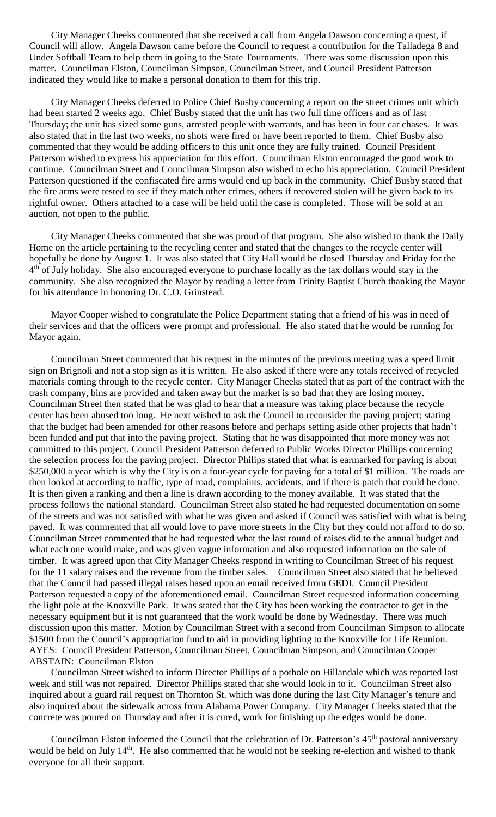City Manager Cheeks commented that she received a call from Angela Dawson concerning a quest, if Council will allow. Angela Dawson came before the Council to request a contribution for the Talladega 8 and Under Softball Team to help them in going to the State Tournaments. There was some discussion upon this matter. Councilman Elston, Councilman Simpson, Councilman Street, and Council President Patterson indicated they would like to make a personal donation to them for this trip.

City Manager Cheeks deferred to Police Chief Busby concerning a report on the street crimes unit which had been started 2 weeks ago. Chief Busby stated that the unit has two full time officers and as of last Thursday; the unit has sized some guns, arrested people with warrants, and has been in four car chases. It was also stated that in the last two weeks, no shots were fired or have been reported to them. Chief Busby also commented that they would be adding officers to this unit once they are fully trained. Council President Patterson wished to express his appreciation for this effort. Councilman Elston encouraged the good work to continue. Councilman Street and Councilman Simpson also wished to echo his appreciation. Council President Patterson questioned if the confiscated fire arms would end up back in the community. Chief Busby stated that the fire arms were tested to see if they match other crimes, others if recovered stolen will be given back to its rightful owner. Others attached to a case will be held until the case is completed. Those will be sold at an auction, not open to the public.

City Manager Cheeks commented that she was proud of that program. She also wished to thank the Daily Home on the article pertaining to the recycling center and stated that the changes to the recycle center will hopefully be done by August 1. It was also stated that City Hall would be closed Thursday and Friday for the 4<sup>th</sup> of July holiday. She also encouraged everyone to purchase locally as the tax dollars would stay in the community. She also recognized the Mayor by reading a letter from Trinity Baptist Church thanking the Mayor for his attendance in honoring Dr. C.O. Grinstead.

Mayor Cooper wished to congratulate the Police Department stating that a friend of his was in need of their services and that the officers were prompt and professional. He also stated that he would be running for Mayor again.

Councilman Street commented that his request in the minutes of the previous meeting was a speed limit sign on Brignoli and not a stop sign as it is written. He also asked if there were any totals received of recycled materials coming through to the recycle center. City Manager Cheeks stated that as part of the contract with the trash company, bins are provided and taken away but the market is so bad that they are losing money. Councilman Street then stated that he was glad to hear that a measure was taking place because the recycle center has been abused too long. He next wished to ask the Council to reconsider the paving project; stating that the budget had been amended for other reasons before and perhaps setting aside other projects that hadn't been funded and put that into the paving project. Stating that he was disappointed that more money was not committed to this project. Council President Patterson deferred to Public Works Director Phillips concerning the selection process for the paving project. Director Philips stated that what is earmarked for paving is about \$250,000 a year which is why the City is on a four-year cycle for paving for a total of \$1 million. The roads are then looked at according to traffic, type of road, complaints, accidents, and if there is patch that could be done. It is then given a ranking and then a line is drawn according to the money available. It was stated that the process follows the national standard. Councilman Street also stated he had requested documentation on some of the streets and was not satisfied with what he was given and asked if Council was satisfied with what is being paved. It was commented that all would love to pave more streets in the City but they could not afford to do so. Councilman Street commented that he had requested what the last round of raises did to the annual budget and what each one would make, and was given vague information and also requested information on the sale of timber. It was agreed upon that City Manager Cheeks respond in writing to Councilman Street of his request for the 11 salary raises and the revenue from the timber sales. Councilman Street also stated that he believed that the Council had passed illegal raises based upon an email received from GEDI. Council President Patterson requested a copy of the aforementioned email. Councilman Street requested information concerning the light pole at the Knoxville Park. It was stated that the City has been working the contractor to get in the necessary equipment but it is not guaranteed that the work would be done by Wednesday. There was much discussion upon this matter. Motion by Councilman Street with a second from Councilman Simpson to allocate \$1500 from the Council's appropriation fund to aid in providing lighting to the Knoxville for Life Reunion. AYES: Council President Patterson, Councilman Street, Councilman Simpson, and Councilman Cooper ABSTAIN: Councilman Elston

Councilman Street wished to inform Director Phillips of a pothole on Hillandale which was reported last week and still was not repaired. Director Phillips stated that she would look in to it. Councilman Street also inquired about a guard rail request on Thornton St. which was done during the last City Manager's tenure and also inquired about the sidewalk across from Alabama Power Company. City Manager Cheeks stated that the concrete was poured on Thursday and after it is cured, work for finishing up the edges would be done.

Councilman Elston informed the Council that the celebration of Dr. Patterson's 45<sup>th</sup> pastoral anniversary would be held on July 14<sup>th</sup>. He also commented that he would not be seeking re-election and wished to thank everyone for all their support.